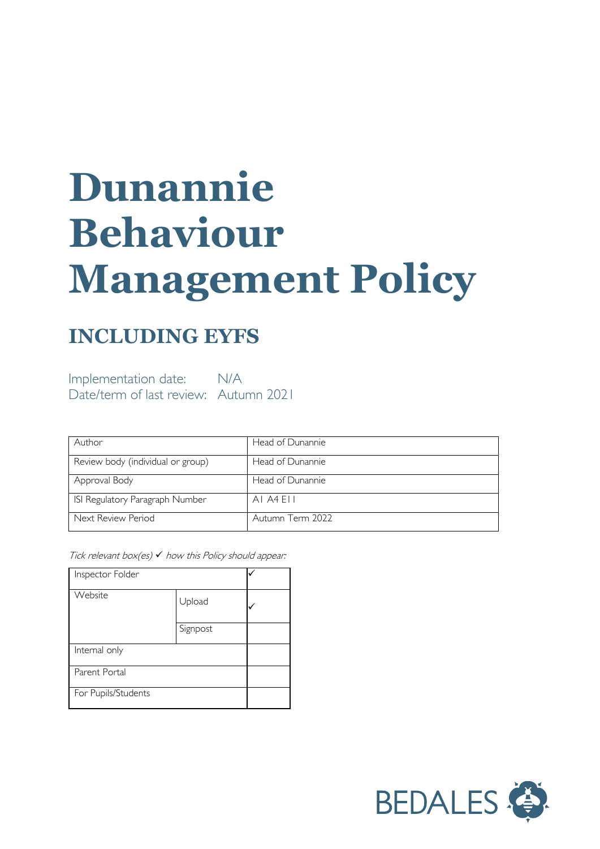# **Dunannie Behaviour Management Policy**

# **INCLUDING EYFS**

Implementation date: N/A Date/term of last review: Autumn 2021

| Author                            | Head of Dunannie |
|-----------------------------------|------------------|
| Review body (individual or group) | Head of Dunannie |
| Approval Body                     | Head of Dunannie |
| ISI Regulatory Paragraph Number   | AI A4 FII        |
| Next Review Period                | Autumn Term 2022 |

Tick relevant box(es)  $\checkmark$  how this Policy should appear:

| Inspector Folder    |          |  |
|---------------------|----------|--|
| Website             | Upload   |  |
|                     | Signpost |  |
| Internal only       |          |  |
| Parent Portal       |          |  |
| For Pupils/Students |          |  |

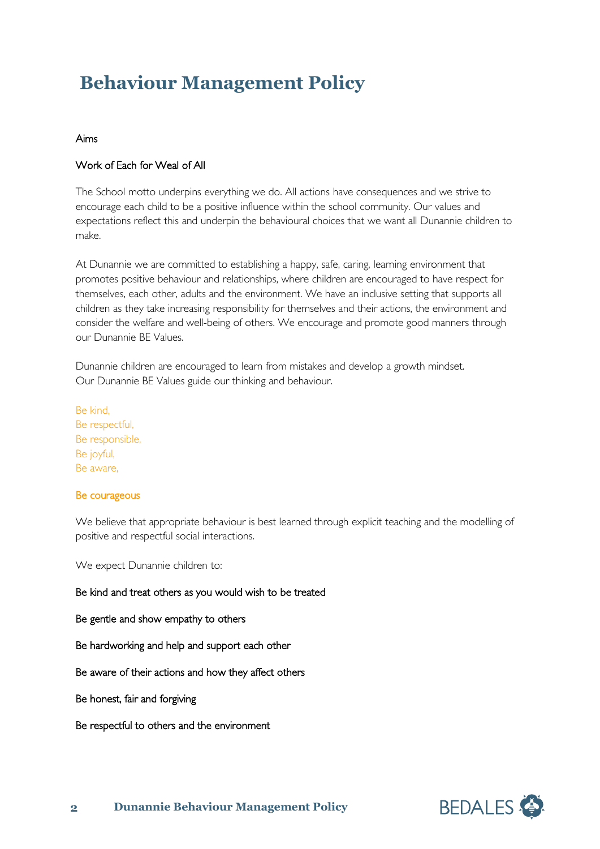# **Behaviour Management Policy**

## Aims

# Work of Each for Weal of All

The School motto underpins everything we do. All actions have consequences and we strive to encourage each child to be a positive influence within the school community. Our values and expectations reflect this and underpin the behavioural choices that we want all Dunannie children to make.

At Dunannie we are committed to establishing a happy, safe, caring, learning environment that promotes positive behaviour and relationships, where children are encouraged to have respect for themselves, each other, adults and the environment. We have an inclusive setting that supports all children as they take increasing responsibility for themselves and their actions, the environment and consider the welfare and well-being of others. We encourage and promote good manners through our Dunannie BE Values.

Dunannie children are encouraged to learn from mistakes and develop a growth mindset. Our Dunannie BE Values guide our thinking and behaviour.

Be kind, Be respectful, Be responsible, Be joyful, Be aware,

### Be courageous

We believe that appropriate behaviour is best learned through explicit teaching and the modelling of positive and respectful social interactions.

We expect Dunannie children to:

Be kind and treat others as you would wish to be treated

Be gentle and show empathy to others

Be hardworking and help and support each other

Be aware of their actions and how they affect others

Be honest, fair and forgiving

Be respectful to others and the environment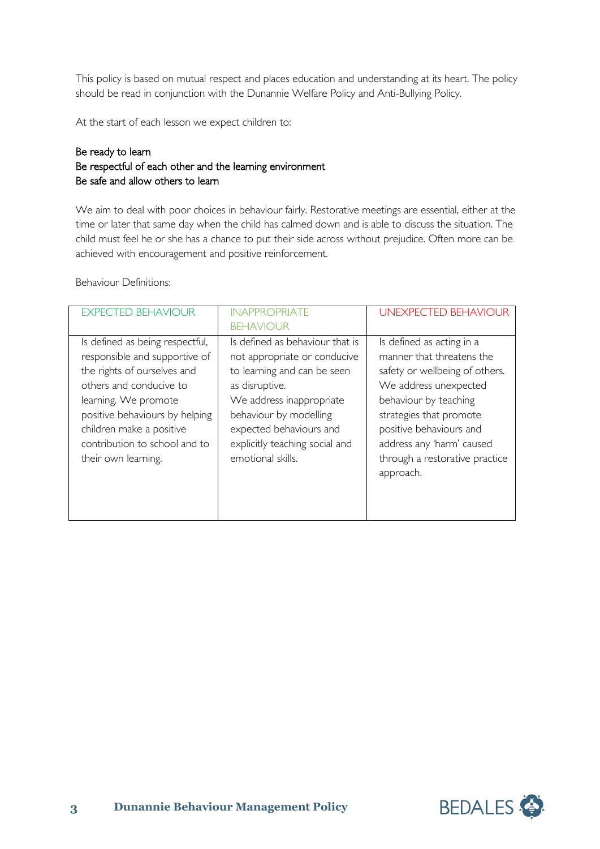This policy is based on mutual respect and places education and understanding at its heart. The policy should be read in conjunction with the Dunannie Welfare Policy and Anti-Bullying Policy.

At the start of each lesson we expect children to:

# Be ready to learn Be respectful of each other and the learning environment Be safe and allow others to learn

We aim to deal with poor choices in behaviour fairly. Restorative meetings are essential, either at the time or later that same day when the child has calmed down and is able to discuss the situation. The child must feel he or she has a chance to put their side across without prejudice. Often more can be achieved with encouragement and positive reinforcement.

Behaviour Definitions:

| <b>EXPECTED BEHAVIOUR</b>                                                                                                                                                                                                                                                | <b>INAPPROPRIATE</b>                                                                                                                                                                                                                                     | <b>UNEXPECTED BEHAVIOUR</b>                                                                                                                                                                                                                                                  |
|--------------------------------------------------------------------------------------------------------------------------------------------------------------------------------------------------------------------------------------------------------------------------|----------------------------------------------------------------------------------------------------------------------------------------------------------------------------------------------------------------------------------------------------------|------------------------------------------------------------------------------------------------------------------------------------------------------------------------------------------------------------------------------------------------------------------------------|
|                                                                                                                                                                                                                                                                          | <b>BEHAVIOUR</b>                                                                                                                                                                                                                                         |                                                                                                                                                                                                                                                                              |
| Is defined as being respectful,<br>responsible and supportive of<br>the rights of ourselves and<br>others and conducive to<br>learning. We promote<br>positive behaviours by helping<br>children make a positive<br>contribution to school and to<br>their own learning. | Is defined as behaviour that is<br>not appropriate or conducive<br>to learning and can be seen<br>as disruptive.<br>We address inappropriate<br>behaviour by modelling<br>expected behaviours and<br>explicitly teaching social and<br>emotional skills. | Is defined as acting in a<br>manner that threatens the<br>safety or wellbeing of others.<br>We address unexpected<br>behaviour by teaching<br>strategies that promote<br>positive behaviours and<br>address any 'harm' caused<br>through a restorative practice<br>approach. |
|                                                                                                                                                                                                                                                                          |                                                                                                                                                                                                                                                          |                                                                                                                                                                                                                                                                              |

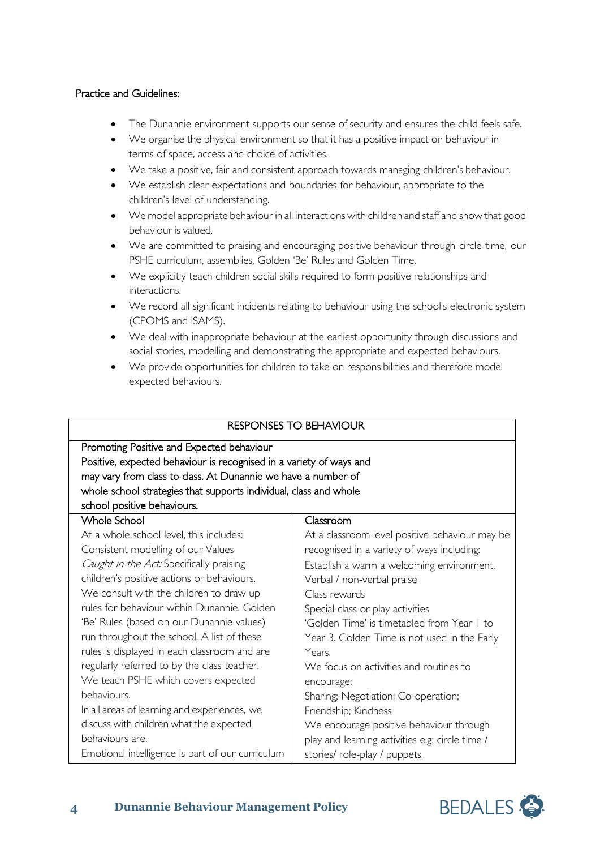## Practice and Guidelines:

- The Dunannie environment supports our sense of security and ensures the child feels safe.
- We organise the physical environment so that it has a positive impact on behaviour in terms of space, access and choice of activities.
- We take a positive, fair and consistent approach towards managing children's behaviour.
- We establish clear expectations and boundaries for behaviour, appropriate to the children's level of understanding.
- We model appropriate behaviour in all interactions with children and staff and show that good behaviour is valued.
- We are committed to praising and encouraging positive behaviour through circle time, our PSHE curriculum, assemblies, Golden 'Be' Rules and Golden Time.
- We explicitly teach children social skills required to form positive relationships and interactions.
- We record all significant incidents relating to behaviour using the school's electronic system (CPOMS and iSAMS).
- We deal with inappropriate behaviour at the earliest opportunity through discussions and social stories, modelling and demonstrating the appropriate and expected behaviours.
- We provide opportunities for children to take on responsibilities and therefore model expected behaviours.

|                                                                     | <b>RESPONSES TO BEHAVIOUR</b>                   |
|---------------------------------------------------------------------|-------------------------------------------------|
| Promoting Positive and Expected behaviour                           |                                                 |
| Positive, expected behaviour is recognised in a variety of ways and |                                                 |
| may vary from class to class. At Dunannie we have a number of       |                                                 |
| whole school strategies that supports individual, class and whole   |                                                 |
| school positive behaviours.                                         |                                                 |
| <b>Whole School</b>                                                 | Classroom                                       |
| At a whole school level, this includes:                             | At a classroom level positive behaviour may be  |
| Consistent modelling of our Values                                  | recognised in a variety of ways including:      |
| Caught in the Act: Specifically praising                            | Establish a warm a welcoming environment.       |
| children's positive actions or behaviours.                          | Verbal / non-verbal praise                      |
| We consult with the children to draw up                             | Class rewards                                   |
| rules for behaviour within Dunannie. Golden                         | Special class or play activities                |
| 'Be' Rules (based on our Dunannie values)                           | 'Golden Time' is timetabled from Year I to      |
| run throughout the school. A list of these                          | Year 3. Golden Time is not used in the Early    |
| rules is displayed in each classroom and are                        | Years.                                          |
| regularly referred to by the class teacher.                         | We focus on activities and routines to          |
| We teach PSHE which covers expected                                 | encourage:                                      |
| behaviours.                                                         | Sharing; Negotiation; Co-operation;             |
| In all areas of learning and experiences, we                        | Friendship; Kindness                            |
| discuss with children what the expected                             | We encourage positive behaviour through         |
| behaviours are.                                                     | play and learning activities e.g: circle time / |
| Emotional intelligence is part of our curriculum                    | stories/ role-play / puppets.                   |

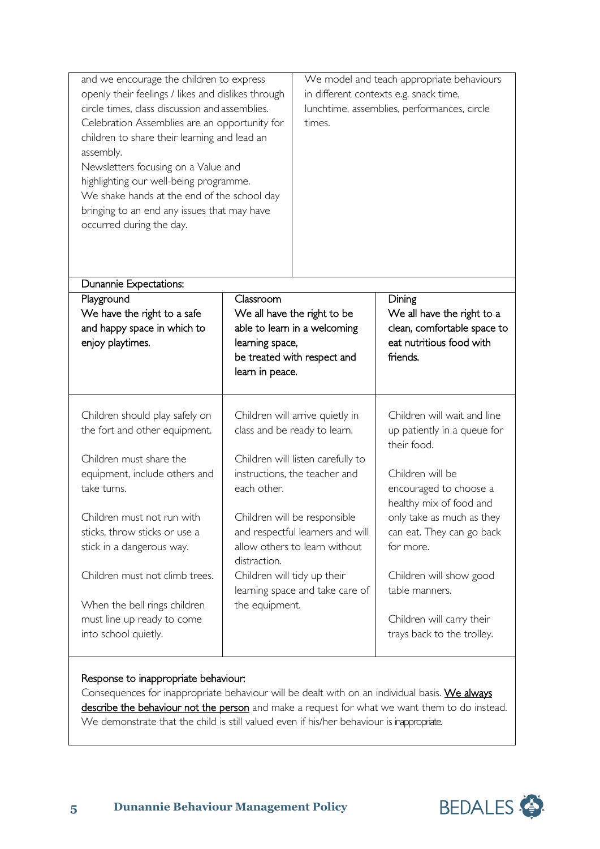| and we encourage the children to express<br>openly their feelings / likes and dislikes through<br>circle times, class discussion and assemblies.<br>Celebration Assemblies are an opportunity for<br>children to share their learning and lead an<br>assembly.<br>Newsletters focusing on a Value and<br>highlighting our well-being programme.<br>We shake hands at the end of the school day<br>bringing to an end any issues that may have<br>occurred during the day. |                                                                                | We model and teach appropriate behaviours<br>in different contexts e.g. snack time,<br>lunchtime, assemblies, performances, circle<br>times. |                                                                                                             |
|---------------------------------------------------------------------------------------------------------------------------------------------------------------------------------------------------------------------------------------------------------------------------------------------------------------------------------------------------------------------------------------------------------------------------------------------------------------------------|--------------------------------------------------------------------------------|----------------------------------------------------------------------------------------------------------------------------------------------|-------------------------------------------------------------------------------------------------------------|
| Dunannie Expectations:                                                                                                                                                                                                                                                                                                                                                                                                                                                    |                                                                                |                                                                                                                                              |                                                                                                             |
| Playground<br>We have the right to a safe<br>and happy space in which to<br>enjoy playtimes.                                                                                                                                                                                                                                                                                                                                                                              | Classroom<br>We all have the right to be<br>learning space,<br>learn in peace. | able to learn in a welcoming<br>be treated with respect and                                                                                  | Dining<br>We all have the right to a<br>clean, comfortable space to<br>eat nutritious food with<br>friends. |
| Children should play safely on<br>the fort and other equipment.                                                                                                                                                                                                                                                                                                                                                                                                           | class and be ready to learn.                                                   | Children will arrive quietly in                                                                                                              | Children will wait and line<br>up patiently in a queue for<br>their food.                                   |
| Children must share the<br>equipment, include others and<br>take turns.                                                                                                                                                                                                                                                                                                                                                                                                   | each other.                                                                    | Children will listen carefully to<br>instructions, the teacher and                                                                           | Children will be<br>encouraged to choose a<br>healthy mix of food and                                       |
| Children must not run with<br>sticks, throw sticks or use a<br>stick in a dangerous way.                                                                                                                                                                                                                                                                                                                                                                                  | distraction.                                                                   | Children will be responsible<br>and respectful learners and will<br>allow others to learn without                                            | only take as much as they<br>can eat. They can go back<br>for more.                                         |
| Children must not climb trees.                                                                                                                                                                                                                                                                                                                                                                                                                                            | Children will tidy up their                                                    | learning space and take care of                                                                                                              | Children will show good<br>table manners.                                                                   |
| When the bell rings children<br>must line up ready to come<br>into school quietly.                                                                                                                                                                                                                                                                                                                                                                                        | the equipment.                                                                 |                                                                                                                                              | Children will carry their<br>trays back to the trolley.                                                     |

# Response to inappropriate behaviour:

Consequences for inappropriate behaviour will be dealt with on an individual basis. We always describe the behaviour not the person and make a request for what we want them to do instead. We demonstrate that the child is still valued even if his/her behaviour is inappropriate.

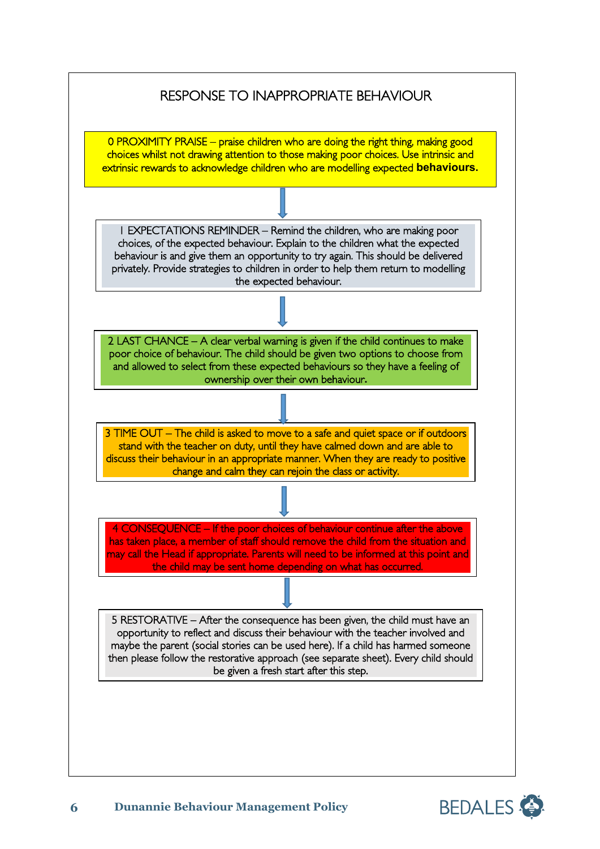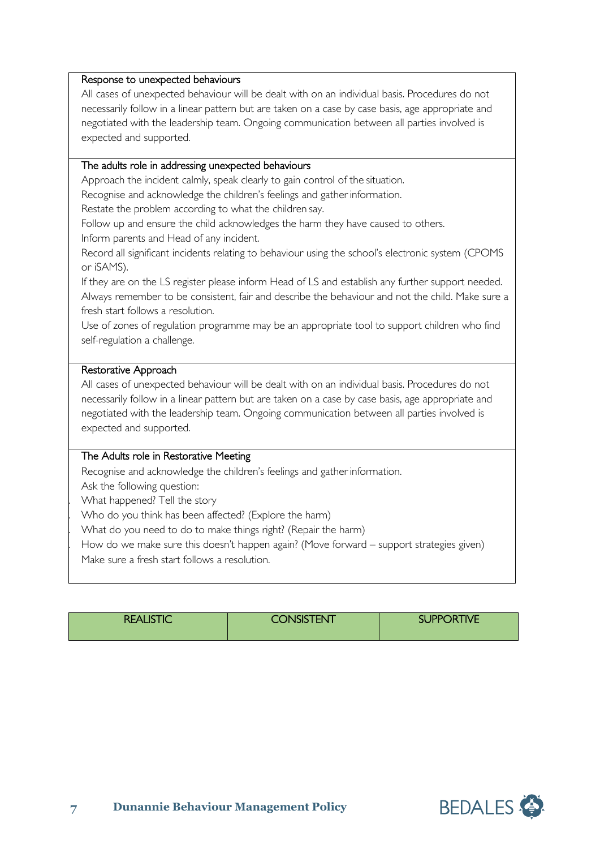#### Response to unexpected behaviours

All cases of unexpected behaviour will be dealt with on an individual basis. Procedures do not necessarily follow in a linear pattern but are taken on a case by case basis, age appropriate and negotiated with the leadership team. Ongoing communication between all parties involved is expected and supported.

## The adults role in addressing unexpected behaviours

Approach the incident calmly, speak clearly to gain control of the situation.

Recognise and acknowledge the children's feelings and gather information.

Restate the problem according to what the children say.

Follow up and ensure the child acknowledges the harm they have caused to others. Inform parents and Head of any incident.

Record all significant incidents relating to behaviour using the school's electronic system (CPOMS or iSAMS).

If they are on the LS register please inform Head of LS and establish any further support needed. Always remember to be consistent, fair and describe the behaviour and not the child. Make sure a fresh start follows a resolution.

Use of zones of regulation programme may be an appropriate tool to support children who find self-regulation a challenge.

#### Restorative Approach

All cases of unexpected behaviour will be dealt with on an individual basis. Procedures do not necessarily follow in a linear pattern but are taken on a case by case basis, age appropriate and negotiated with the leadership team. Ongoing communication between all parties involved is expected and supported.

### The Adults role in Restorative Meeting

Recognise and acknowledge the children's feelings and gather information.

Ask the following question:

. What happened? Tell the story

. Who do you think has been affected? (Explore the harm)

. What do you need to do to make things right? (Repair the harm)

How do we make sure this doesn't happen again? (Move forward – support strategies given)

Make sure a fresh start follows a resolution.

| <b>REALISTIC</b> | <b>CONSISTENT</b> | <b>SUPPORTIVE</b> |  |
|------------------|-------------------|-------------------|--|
|------------------|-------------------|-------------------|--|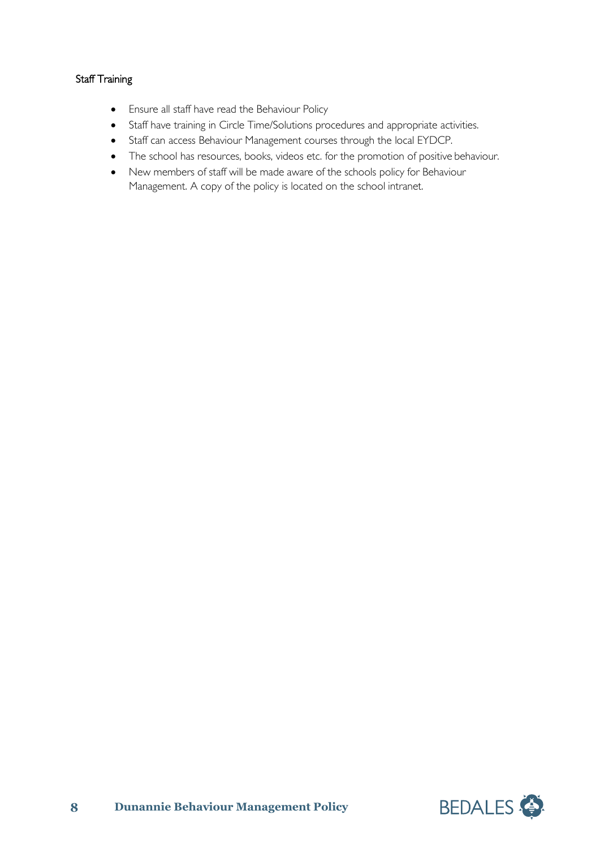# Staff Training

- Ensure all staff have read the Behaviour Policy
- Staff have training in Circle Time/Solutions procedures and appropriate activities.
- Staff can access Behaviour Management courses through the local EYDCP.
- The school has resources, books, videos etc. for the promotion of positive behaviour.
- New members of staff will be made aware of the schools policy for Behaviour Management. A copy of the policy is located on the school intranet.